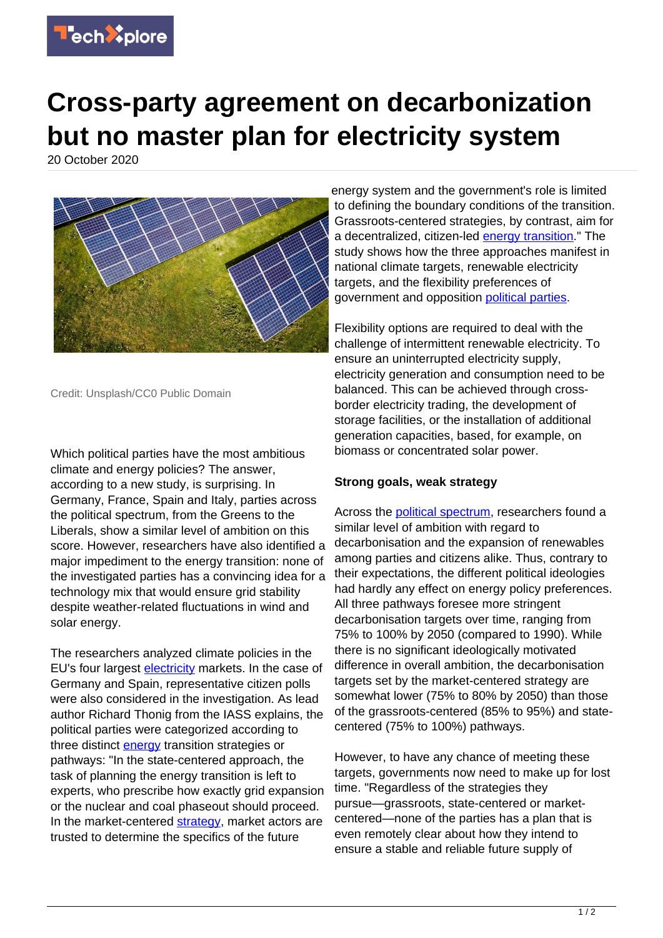

## **Cross-party agreement on decarbonization but no master plan for electricity system**

20 October 2020



Credit: Unsplash/CC0 Public Domain

Which political parties have the most ambitious climate and energy policies? The answer, according to a new study, is surprising. In Germany, France, Spain and Italy, parties across the political spectrum, from the Greens to the Liberals, show a similar level of ambition on this score. However, researchers have also identified a major impediment to the energy transition: none of the investigated parties has a convincing idea for a technology mix that would ensure grid stability despite weather-related fluctuations in wind and solar energy.

The researchers analyzed climate policies in the EU's four largest [electricity](https://techxplore.com/tags/electricity/) markets. In the case of Germany and Spain, representative citizen polls were also considered in the investigation. As lead author Richard Thonig from the IASS explains, the political parties were categorized according to three distinct [energy](https://techxplore.com/tags/energy/) transition strategies or pathways: "In the state-centered approach, the task of planning the energy transition is left to experts, who prescribe how exactly grid expansion or the nuclear and coal phaseout should proceed. In the market-centered [strategy](https://techxplore.com/tags/strategy/), market actors are trusted to determine the specifics of the future

energy system and the government's role is limited to defining the boundary conditions of the transition. Grassroots-centered strategies, by contrast, aim for a decentralized, citizen-led **[energy transition](https://techxplore.com/tags/energy+transition/)**." The study shows how the three approaches manifest in national climate targets, renewable electricity targets, and the flexibility preferences of government and opposition [political parties.](https://techxplore.com/tags/political+parties/)

Flexibility options are required to deal with the challenge of intermittent renewable electricity. To ensure an uninterrupted electricity supply, electricity generation and consumption need to be balanced. This can be achieved through crossborder electricity trading, the development of storage facilities, or the installation of additional generation capacities, based, for example, on biomass or concentrated solar power.

## **Strong goals, weak strategy**

Across the [political spectrum](https://techxplore.com/tags/political+spectrum/), researchers found a similar level of ambition with regard to decarbonisation and the expansion of renewables among parties and citizens alike. Thus, contrary to their expectations, the different political ideologies had hardly any effect on energy policy preferences. All three pathways foresee more stringent decarbonisation targets over time, ranging from 75% to 100% by 2050 (compared to 1990). While there is no significant ideologically motivated difference in overall ambition, the decarbonisation targets set by the market-centered strategy are somewhat lower (75% to 80% by 2050) than those of the grassroots-centered (85% to 95%) and statecentered (75% to 100%) pathways.

However, to have any chance of meeting these targets, governments now need to make up for lost time. "Regardless of the strategies they pursue—grassroots, state-centered or marketcentered—none of the parties has a plan that is even remotely clear about how they intend to ensure a stable and reliable future supply of